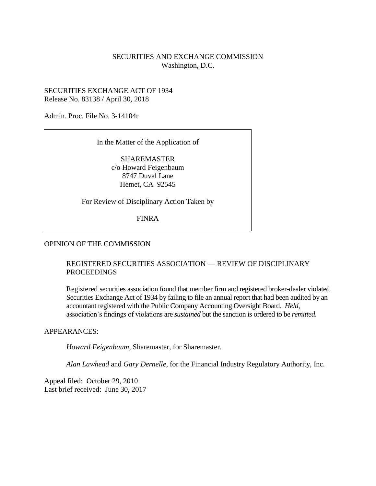## SECURITIES AND EXCHANGE COMMISSION Washington, D.C.

## SECURITIES EXCHANGE ACT OF 1934 Release No. 83138 / April 30, 2018

Admin. Proc. File No. 3-14104r

In the Matter of the Application of

SHAREMASTER c/o Howard Feigenbaum 8747 Duval Lane Hemet, CA 92545

For Review of Disciplinary Action Taken by

FINRA

## OPINION OF THE COMMISSION

## REGISTERED SECURITIES ASSOCIATION — REVIEW OF DISCIPLINARY PROCEEDINGS

Registered securities association found that member firm and registered broker-dealer violated Securities Exchange Act of 1934 by failing to file an annual report that had been audited by an accountant registered with the Public Company Accounting Oversight Board. *Held*, association's findings of violations are *sustained* but the sanction is ordered to be *remitted*.

## APPEARANCES:

*Howard Feigenbaum*, Sharemaster, for Sharemaster.

*Alan Lawhead* and *Gary Dernelle*, for the Financial Industry Regulatory Authority, Inc.

Appeal filed: October 29, 2010 Last brief received: June 30, 2017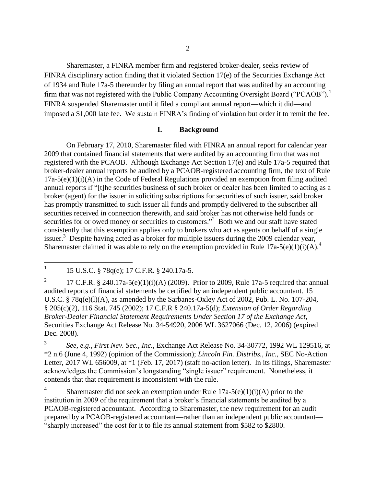Sharemaster, a FINRA member firm and registered broker-dealer, seeks review of FINRA disciplinary action finding that it violated Section 17(e) of the Securities Exchange Act of 1934 and Rule 17a-5 thereunder by filing an annual report that was audited by an accounting firm that was not registered with the Public Company Accounting Oversight Board ("PCAOB").<sup>1</sup> FINRA suspended Sharemaster until it filed a compliant annual report—which it did—and imposed a \$1,000 late fee. We sustain FINRA's finding of violation but order it to remit the fee.

## **I. Background**

On February 17, 2010, Sharemaster filed with FINRA an annual report for calendar year 2009 that contained financial statements that were audited by an accounting firm that was not registered with the PCAOB. Although Exchange Act Section 17(e) and Rule 17a-5 required that broker-dealer annual reports be audited by a PCAOB-registered accounting firm, the text of Rule 17a-5(e)(1)(i)(A) in the Code of Federal Regulations provided an exemption from filing audited annual reports if "[t]he securities business of such broker or dealer has been limited to acting as a broker (agent) for the issuer in soliciting subscriptions for securities of such issuer, said broker has promptly transmitted to such issuer all funds and promptly delivered to the subscriber all securities received in connection therewith, and said broker has not otherwise held funds or securities for or owed money or securities to customers."<sup>2</sup> Both we and our staff have stated consistently that this exemption applies only to brokers who act as agents on behalf of a single issuer.<sup>3</sup> Despite having acted as a broker for multiple issuers during the 2009 calendar year, Sharemaster claimed it was able to rely on the exemption provided in Rule  $17a-5(e)(1)(i)(A)$ .<sup>4</sup>

2 17 C.F.R. § 240.17a-5(e)(1)(i)(A) (2009). Prior to 2009, Rule 17a-5 required that annual audited reports of financial statements be certified by an independent public accountant. 15 U.S.C. § 78q(e)(l)(A), as amended by the Sarbanes-Oxley Act of 2002, Pub. L. No. 107-204, § 205(c)(2), 116 Stat. 745 (2002); 17 C.F.R § 240.17a-5(d); *Extension of Order Regarding Broker-Dealer Financial Statement Requirements Under Section 17 of the Exchange Act*, Securities Exchange Act Release No. 34-54920, 2006 WL 3627066 (Dec. 12, 2006) (expired Dec. 2008).

3 *See, e.g.*, *First Nev. Sec., Inc.*, Exchange Act Release No. 34-30772, 1992 WL 129516, at \*2 n.6 (June 4, 1992) (opinion of the Commission); *Lincoln Fin. Distribs., Inc.*, SEC No-Action Letter, 2017 WL 656009, at \*1 (Feb. 17, 2017) (staff no-action letter). In its filings, Sharemaster acknowledges the Commission's longstanding "single issuer" requirement. Nonetheless, it contends that that requirement is inconsistent with the rule.

4 Sharemaster did not seek an exemption under Rule  $17a-5(e)(1)(i)(A)$  prior to the institution in 2009 of the requirement that a broker's financial statements be audited by a PCAOB-registered accountant. According to Sharemaster, the new requirement for an audit prepared by a PCAOB-registered accountant—rather than an independent public accountant— "sharply increased" the cost for it to file its annual statement from \$582 to \$2800.

 $\frac{1}{1}$ 15 U.S.C. § 78q(e); 17 C.F.R. § 240.17a-5.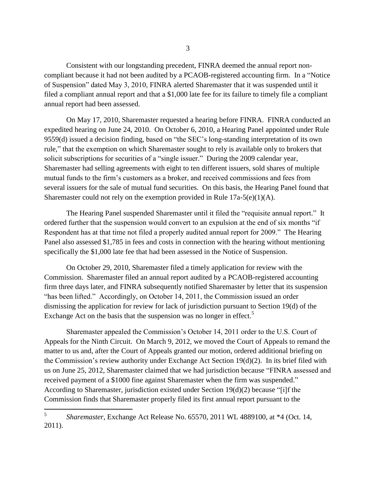Consistent with our longstanding precedent, FINRA deemed the annual report noncompliant because it had not been audited by a PCAOB-registered accounting firm. In a "Notice of Suspension" dated May 3, 2010, FINRA alerted Sharemaster that it was suspended until it filed a compliant annual report and that a \$1,000 late fee for its failure to timely file a compliant annual report had been assessed.

On May 17, 2010, Sharemaster requested a hearing before FINRA. FINRA conducted an expedited hearing on June 24, 2010. On October 6, 2010, a Hearing Panel appointed under Rule 9559(d) issued a decision finding, based on "the SEC's long-standing interpretation of its own rule," that the exemption on which Sharemaster sought to rely is available only to brokers that solicit subscriptions for securities of a "single issuer." During the 2009 calendar year, Sharemaster had selling agreements with eight to ten different issuers, sold shares of multiple mutual funds to the firm's customers as a broker, and received commissions and fees from several issuers for the sale of mutual fund securities. On this basis, the Hearing Panel found that Sharemaster could not rely on the exemption provided in Rule  $17a-5(e)(1)(A)$ .

The Hearing Panel suspended Sharemaster until it filed the "requisite annual report." It ordered further that the suspension would convert to an expulsion at the end of six months "if Respondent has at that time not filed a properly audited annual report for 2009." The Hearing Panel also assessed \$1,785 in fees and costs in connection with the hearing without mentioning specifically the \$1,000 late fee that had been assessed in the Notice of Suspension.

On October 29, 2010, Sharemaster filed a timely application for review with the Commission. Sharemaster filed an annual report audited by a PCAOB-registered accounting firm three days later, and FINRA subsequently notified Sharemaster by letter that its suspension "has been lifted." Accordingly, on October 14, 2011, the Commission issued an order dismissing the application for review for lack of jurisdiction pursuant to Section 19(d) of the Exchange Act on the basis that the suspension was no longer in effect.<sup>5</sup>

Sharemaster appealed the Commission's October 14, 2011 order to the U.S. Court of Appeals for the Ninth Circuit. On March 9, 2012, we moved the Court of Appeals to remand the matter to us and, after the Court of Appeals granted our motion, ordered additional briefing on the Commission's review authority under Exchange Act Section 19(d)(2). In its brief filed with us on June 25, 2012, Sharemaster claimed that we had jurisdiction because "FINRA assessed and received payment of a \$1000 fine against Sharemaster when the firm was suspended." According to Sharemaster, jurisdiction existed under Section 19(d)(2) because "[i]f the Commission finds that Sharemaster properly filed its first annual report pursuant to the

 5 *Sharemaster*, Exchange Act Release No. 65570, 2011 WL 4889100, at \*4 (Oct. 14, 2011).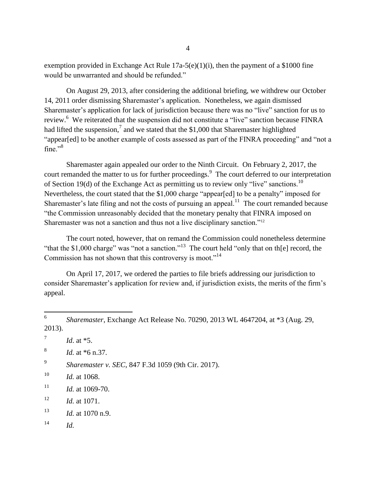exemption provided in Exchange Act Rule  $17a-5(e)(1)(i)$ , then the payment of a \$1000 fine would be unwarranted and should be refunded."

On August 29, 2013, after considering the additional briefing, we withdrew our October 14, 2011 order dismissing Sharemaster's application. Nonetheless, we again dismissed Sharemaster's application for lack of jurisdiction because there was no "live" sanction for us to review.<sup>6</sup> We reiterated that the suspension did not constitute a "live" sanction because FINRA had lifted the suspension,<sup>7</sup> and we stated that the \$1,000 that Sharemaster highlighted "appear[ed] to be another example of costs assessed as part of the FINRA proceeding" and "not a fine." $8$ 

Sharemaster again appealed our order to the Ninth Circuit. On February 2, 2017, the court remanded the matter to us for further proceedings.<sup>9</sup> The court deferred to our interpretation of Section 19(d) of the Exchange Act as permitting us to review only "live" sanctions.<sup>10</sup> Nevertheless, the court stated that the \$1,000 charge "appear[ed] to be a penalty" imposed for Sharemaster's late filing and not the costs of pursuing an appeal.<sup>11</sup> The court remanded because "the Commission unreasonably decided that the monetary penalty that FINRA imposed on Sharemaster was not a sanction and thus not a live disciplinary sanction."<sup>12</sup>

The court noted, however, that on remand the Commission could nonetheless determine "that the \$1,000 charge" was "not a sanction."<sup>13</sup> The court held "only that on th[e] record, the Commission has not shown that this controversy is moot."<sup>14</sup>

On April 17, 2017, we ordered the parties to file briefs addressing our jurisdiction to consider Sharemaster's application for review and, if jurisdiction exists, the merits of the firm's appeal.

 6 *Sharemaster*, Exchange Act Release No. 70290, 2013 WL 4647204, at \*3 (Aug. 29, 2013). 7 *Id*. at \*5. 8 *Id.* at \*6 n.37. 9 *Sharemaster v. SEC*, 847 F.3d 1059 (9th Cir. 2017). <sup>10</sup> *Id.* at 1068.  $11$  *Id.* at 1069-70. <sup>12</sup> *Id.* at 1071. <sup>13</sup> *Id.* at 1070 n.9. <sup>14</sup> *Id.*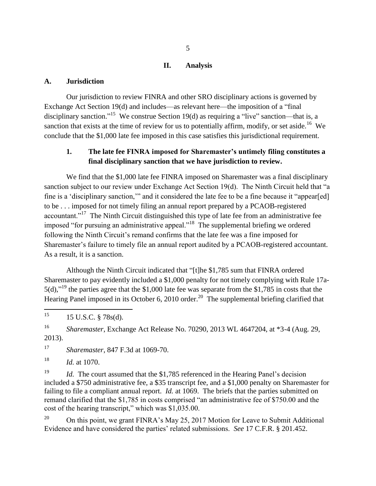### **II. Analysis**

#### **A. Jurisdiction**

Our jurisdiction to review FINRA and other SRO disciplinary actions is governed by Exchange Act Section 19(d) and includes—as relevant here—the imposition of a "final disciplinary sanction."<sup>15</sup> We construe Section 19(d) as requiring a "live" sanction—that is, a sanction that exists at the time of review for us to potentially affirm, modify, or set aside.<sup>16</sup> We conclude that the \$1,000 late fee imposed in this case satisfies this jurisdictional requirement.

# **1. The late fee FINRA imposed for Sharemaster's untimely filing constitutes a final disciplinary sanction that we have jurisdiction to review.**

We find that the \$1,000 late fee FINRA imposed on Sharemaster was a final disciplinary sanction subject to our review under Exchange Act Section 19(d). The Ninth Circuit held that "a fine is a 'disciplinary sanction,'" and it considered the late fee to be a fine because it "appear[ed] to be . . . imposed for not timely filing an annual report prepared by a PCAOB-registered accountant."<sup>17</sup> The Ninth Circuit distinguished this type of late fee from an administrative fee imposed "for pursuing an administrative appeal."<sup>18</sup> The supplemental briefing we ordered following the Ninth Circuit's remand confirms that the late fee was a fine imposed for Sharemaster's failure to timely file an annual report audited by a PCAOB-registered accountant. As a result, it is a sanction.

Although the Ninth Circuit indicated that "[t]he \$1,785 sum that FINRA ordered Sharemaster to pay evidently included a \$1,000 penalty for not timely complying with Rule 17a-5(d),<sup> $19$ </sup> the parties agree that the \$1,000 late fee was separate from the \$1,785 in costs that the Hearing Panel imposed in its October 6, 2010 order.<sup>20</sup> The supplemental briefing clarified that

15 <sup>15</sup> 15 U.S.C. § 78s(d).

<sup>16</sup> *Sharemaster*, Exchange Act Release No. 70290, 2013 WL 4647204, at \*3-4 (Aug. 29, 2013).

<sup>17</sup> *Sharemaster*, 847 F.3d at 1069-70.

<sup>18</sup> *Id.* at 1070.

<sup>19</sup> *Id.* The court assumed that the \$1,785 referenced in the Hearing Panel's decision included a \$750 administrative fee, a \$35 transcript fee, and a \$1,000 penalty on Sharemaster for failing to file a compliant annual report. *Id.* at 1069. The briefs that the parties submitted on remand clarified that the \$1,785 in costs comprised "an administrative fee of \$750.00 and the cost of the hearing transcript," which was \$1,035.00.

<sup>20</sup> On this point, we grant FINRA's May 25, 2017 Motion for Leave to Submit Additional Evidence and have considered the parties' related submissions. *See* 17 C.F.R. § 201.452.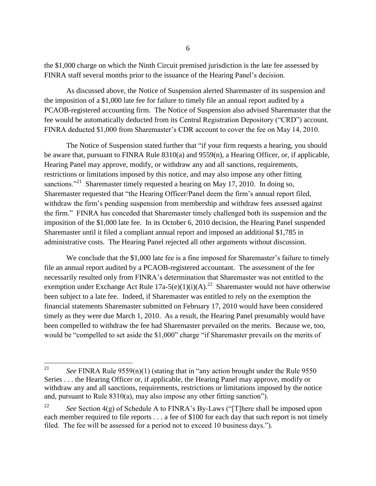the \$1,000 charge on which the Ninth Circuit premised jurisdiction is the late fee assessed by FINRA staff several months prior to the issuance of the Hearing Panel's decision.

As discussed above, the Notice of Suspension alerted Sharemaster of its suspension and the imposition of a \$1,000 late fee for failure to timely file an annual report audited by a PCAOB-registered accounting firm. The Notice of Suspension also advised Sharemaster that the fee would be automatically deducted from its Central Registration Depository ("CRD") account. FINRA deducted \$1,000 from Sharemaster's CDR account to cover the fee on May 14, 2010.

The Notice of Suspension stated further that "if your firm requests a hearing, you should be aware that, pursuant to FINRA Rule 8310(a) and 9559(n), a Hearing Officer, or, if applicable, Hearing Panel may approve, modify, or withdraw any and all sanctions, requirements, restrictions or limitations imposed by this notice, and may also impose any other fitting sanctions."<sup>21</sup> Sharemaster timely requested a hearing on May 17, 2010. In doing so, Sharemaster requested that "the Hearing Officer/Panel deem the firm's annual report filed, withdraw the firm's pending suspension from membership and withdraw fees assessed against the firm." FINRA has conceded that Sharemaster timely challenged both its suspension and the imposition of the \$1,000 late fee. In its October 6, 2010 decision, the Hearing Panel suspended Sharemaster until it filed a compliant annual report and imposed an additional \$1,785 in administrative costs. The Hearing Panel rejected all other arguments without discussion.

We conclude that the \$1,000 late fee is a fine imposed for Sharemaster's failure to timely file an annual report audited by a PCAOB-registered accountant. The assessment of the fee necessarily resulted only from FINRA's determination that Sharemaster was not entitled to the exemption under Exchange Act Rule  $17a-5(e)(1)(i)(A)$ <sup>22</sup> Sharemaster would not have otherwise been subject to a late fee. Indeed, if Sharemaster was entitled to rely on the exemption the financial statements Sharemaster submitted on February 17, 2010 would have been considered timely as they were due March 1, 2010. As a result, the Hearing Panel presumably would have been compelled to withdraw the fee had Sharemaster prevailed on the merits. Because we, too, would be "compelled to set aside the \$1,000" charge "if Sharemaster prevails on the merits of

<sup>21</sup> See FINRA Rule  $9559(n)(1)$  (stating that in "any action brought under the Rule  $9550$ Series . . . the Hearing Officer or, if applicable, the Hearing Panel may approve, modify or withdraw any and all sanctions, requirements, restrictions or limitations imposed by the notice and, pursuant to Rule 8310(a), may also impose any other fitting sanction").

<sup>&</sup>lt;sup>22</sup> *See* Section 4(g) of Schedule A to FINRA's By-Laws ("[T]here shall be imposed upon each member required to file reports . . . a fee of \$100 for each day that such report is not timely filed. The fee will be assessed for a period not to exceed 10 business days.").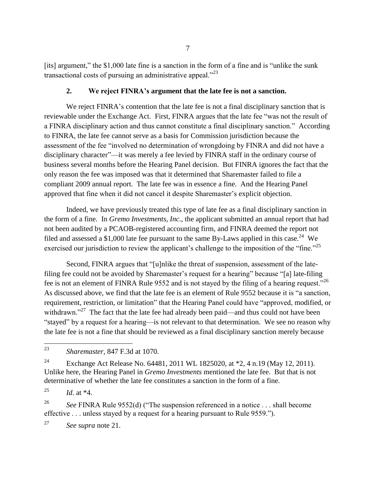[its] argument," the \$1,000 late fine is a sanction in the form of a fine and is "unlike the sunk transactional costs of pursuing an administrative appeal. $1^{23}$ 

## **2. We reject FINRA's argument that the late fee is not a sanction.**

We reject FINRA's contention that the late fee is not a final disciplinary sanction that is reviewable under the Exchange Act. First, FINRA argues that the late fee "was not the result of a FINRA disciplinary action and thus cannot constitute a final disciplinary sanction." According to FINRA, the late fee cannot serve as a basis for Commission jurisdiction because the assessment of the fee "involved no determination of wrongdoing by FINRA and did not have a disciplinary character"—it was merely a fee levied by FINRA staff in the ordinary course of business several months before the Hearing Panel decision. But FINRA ignores the fact that the only reason the fee was imposed was that it determined that Sharemaster failed to file a compliant 2009 annual report. The late fee was in essence a fine. And the Hearing Panel approved that fine when it did not cancel it despite Sharemaster's explicit objection.

Indeed, we have previously treated this type of late fee as a final disciplinary sanction in the form of a fine. In *Gremo Investments, Inc.*, the applicant submitted an annual report that had not been audited by a PCAOB-registered accounting firm, and FINRA deemed the report not filed and assessed a \$1,000 late fee pursuant to the same By-Laws applied in this case.<sup>24</sup> We exercised our jurisdiction to review the applicant's challenge to the imposition of the "fine."<sup>25</sup>

Second, FINRA argues that "[u]nlike the threat of suspension, assessment of the latefiling fee could not be avoided by Sharemaster's request for a hearing" because "[a] late-filing fee is not an element of FINRA Rule 9552 and is not stayed by the filing of a hearing request."<sup>26</sup> As discussed above, we find that the late fee is an element of Rule 9552 because it is "a sanction, requirement, restriction, or limitation" that the Hearing Panel could have "approved, modified, or withdrawn."<sup>27</sup> The fact that the late fee had already been paid—and thus could not have been "stayed" by a request for a hearing—is not relevant to that determination. We see no reason why the late fee is not a fine that should be reviewed as a final disciplinary sanction merely because

<sup>24</sup> Exchange Act Release No. 64481, 2011 WL 1825020, at \*2, 4 n.19 (May 12, 2011). Unlike here, the Hearing Panel in *Gremo Investments* mentioned the late fee. But that is not determinative of whether the late fee constitutes a sanction in the form of a fine.

<sup>25</sup> *Id.* at  $*4$ .

<sup>26</sup> *See FINRA Rule 9552(d)* ("The suspension referenced in a notice . . . shall become effective . . . unless stayed by a request for a hearing pursuant to Rule 9559.").

<sup>27</sup> *See supra* note 21.

<sup>23</sup> <sup>23</sup> *Sharemaster*, 847 F.3d at 1070.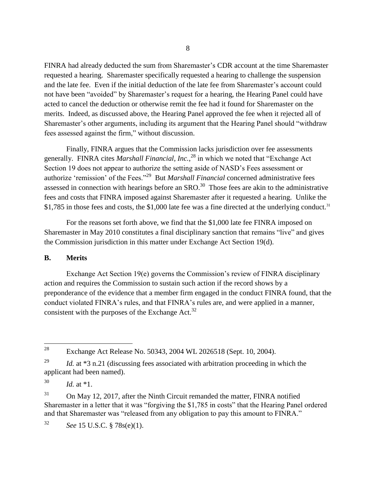FINRA had already deducted the sum from Sharemaster's CDR account at the time Sharemaster requested a hearing. Sharemaster specifically requested a hearing to challenge the suspension and the late fee. Even if the initial deduction of the late fee from Sharemaster's account could not have been "avoided" by Sharemaster's request for a hearing, the Hearing Panel could have acted to cancel the deduction or otherwise remit the fee had it found for Sharemaster on the merits. Indeed, as discussed above, the Hearing Panel approved the fee when it rejected all of Sharemaster's other arguments, including its argument that the Hearing Panel should "withdraw fees assessed against the firm," without discussion.

Finally, FINRA argues that the Commission lacks jurisdiction over fee assessments generally. FINRA cites *Marshall Financial, Inc.*, <sup>28</sup> in which we noted that "Exchange Act Section 19 does not appear to authorize the setting aside of NASD's Fees assessment or authorize 'remission' of the Fees."<sup>29</sup> But *Marshall Financial* concerned administrative fees assessed in connection with hearings before an  $SRO$ .<sup>30</sup> Those fees are akin to the administrative fees and costs that FINRA imposed against Sharemaster after it requested a hearing. Unlike the \$1,785 in those fees and costs, the \$1,000 late fee was a fine directed at the underlying conduct.<sup>31</sup>

For the reasons set forth above, we find that the \$1,000 late fee FINRA imposed on Sharemaster in May 2010 constitutes a final disciplinary sanction that remains "live" and gives the Commission jurisdiction in this matter under Exchange Act Section 19(d).

### **B. Merits**

Exchange Act Section 19(e) governs the Commission's review of FINRA disciplinary action and requires the Commission to sustain such action if the record shows by a preponderance of the evidence that a member firm engaged in the conduct FINRA found, that the conduct violated FINRA's rules, and that FINRA's rules are, and were applied in a manner, consistent with the purposes of the Exchange Act.<sup>32</sup>

<sup>30</sup> *Id.* at \*1.

<sup>31</sup> On May 12, 2017, after the Ninth Circuit remanded the matter, FINRA notified Sharemaster in a letter that it was "forgiving the \$1,785 in costs" that the Hearing Panel ordered and that Sharemaster was "released from any obligation to pay this amount to FINRA."

<sup>32</sup> *See* 15 U.S.C. § 78s(e)(1).

<sup>28</sup> <sup>28</sup> Exchange Act Release No. 50343, 2004 WL 2026518 (Sept. 10, 2004).

<sup>&</sup>lt;sup>29</sup> *Id.* at \*3 n.21 (discussing fees associated with arbitration proceeding in which the applicant had been named).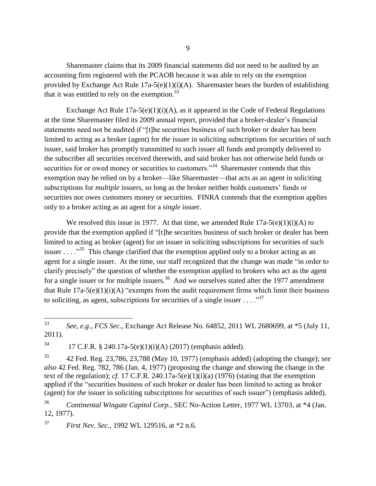Sharemaster claims that its 2009 financial statements did not need to be audited by an accounting firm registered with the PCAOB because it was able to rely on the exemption provided by Exchange Act Rule  $17a-5(e)(1)(i)(A)$ . Sharemaster bears the burden of establishing that it was entitled to rely on the exemption. $33$ 

Exchange Act Rule  $17a-5(e)(1)(i)(A)$ , as it appeared in the Code of Federal Regulations at the time Sharemaster filed its 2009 annual report, provided that a broker-dealer's financial statements need not be audited if "[t]he securities business of such broker or dealer has been limited to acting as a broker (agent) for *the* issuer in soliciting subscriptions for securities of such issuer, said broker has promptly transmitted to such issuer all funds and promptly delivered to the subscriber all securities received therewith, and said broker has not otherwise held funds or securities for or owed money or securities to customers."<sup>34</sup> Sharemaster contends that this exemption may be relied on by a broker—like Sharemaster—that acts as an agent in soliciting subscriptions for *multiple* issuers, so long as the broker neither holds customers' funds or securities nor owes customers money or securities. FINRA contends that the exemption applies only to a broker acting as an agent for a *single* issuer.

We resolved this issue in 1977. At that time, we amended Rule  $17a-5(e)(1)(i)(A)$  to provide that the exemption applied if "[t]he securities business of such broker or dealer has been limited to acting as broker (agent) for *an* issuer in soliciting subscriptions for securities of such issuer . . . .  $\cdot$ <sup>35</sup> This change clarified that the exemption applied only to a broker acting as an agent for a single issuer. At the time, our staff recognized that the change was made "in order to clarify precisely" the question of whether the exemption applied to brokers who act as the agent for a single issuer or for multiple issuers.<sup>36</sup> And we ourselves stated after the 1977 amendment that Rule  $17a-5(e)(1)(i)(A)$  "exempts from the audit requirement firms which limit their business to soliciting, as agent, subscriptions for securities of a single issuer  $\dots$ ."<sup>37</sup>

<sup>37</sup> *First Nev. Sec.*, 1992 WL 129516, at \*2 n.6.

<sup>33</sup> <sup>33</sup> *See, e.g.*, *FCS Sec.*, Exchange Act Release No. 64852, 2011 WL 2680699, at \*5 (July 11, 2011).

<sup>&</sup>lt;sup>34</sup> 17 C.F.R. § 240.17a-5(e)(1)(i)(A) (2017) (emphasis added).

<sup>35</sup> 42 Fed. Reg. 23,786, 23,788 (May 10, 1977) (emphasis added) (adopting the change); *see also* 42 Fed. Reg. 782, 786 (Jan. 4, 1977) (proposing the change and showing the change in the text of the regulation); *cf.* 17 C.F.R. 240.17a-5(e)(1)(i)(a) (1976) (stating that the exemption applied if the "securities business of such broker or dealer has been limited to acting as broker (agent) for *the* issuer in soliciting subscriptions for securities of such issuer") (emphasis added).

<sup>36</sup> *Continental Wingate Capitol Corp.*, SEC No-Action Letter, 1977 WL 13703, at \*4 (Jan. 12, 1977).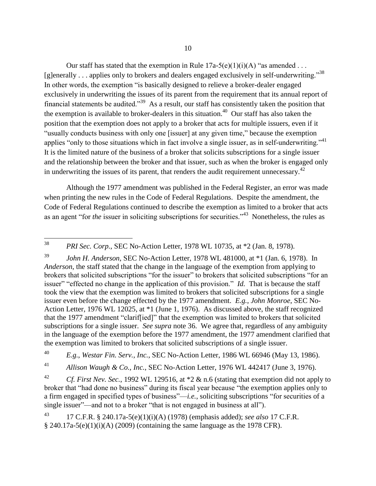Our staff has stated that the exemption in Rule  $17a-5(e)(1)(i)(A)$  "as amended ... [g]enerally ... applies only to brokers and dealers engaged exclusively in self-underwriting.<sup>38</sup> In other words, the exemption "is basically designed to relieve a broker-dealer engaged exclusively in underwriting the issues of its parent from the requirement that its annual report of financial statements be audited.<sup>39</sup> As a result, our staff has consistently taken the position that the exemption is available to broker-dealers in this situation.<sup>40</sup> Our staff has also taken the position that the exemption does not apply to a broker that acts for multiple issuers, even if it "usually conducts business with only one [issuer] at any given time," because the exemption applies "only to those situations which in fact involve a single issuer, as in self-underwriting."<sup>41</sup> It is the limited nature of the business of a broker that solicits subscriptions for a single issuer and the relationship between the broker and that issuer, such as when the broker is engaged only in underwriting the issues of its parent, that renders the audit requirement unnecessary.<sup>42</sup>

Although the 1977 amendment was published in the Federal Register, an error was made when printing the new rules in the Code of Federal Regulations. Despite the amendment, the Code of Federal Regulations continued to describe the exemption as limited to a broker that acts as an agent "for *the* issuer in soliciting subscriptions for securities."<sup>43</sup> Nonetheless, the rules as

<sup>39</sup> *John H. Anderson*, SEC No-Action Letter, 1978 WL 481000, at \*1 (Jan. 6, 1978). In *Anderson*, the staff stated that the change in the language of the exemption from applying to brokers that solicited subscriptions "for the issuer" to brokers that solicited subscriptions "for an issuer" "effected no change in the application of this provision." *Id.* That is because the staff took the view that the exemption was limited to brokers that solicited subscriptions for a single issuer even before the change effected by the 1977 amendment. *E.g.*, *John Monroe*, SEC No-Action Letter, 1976 WL 12025, at \*1 (June 1, 1976). As discussed above, the staff recognized that the 1977 amendment "clarif[ied]" that the exemption was limited to brokers that solicited subscriptions for a single issuer. *See supra* note 36. We agree that, regardless of any ambiguity in the language of the exemption before the 1977 amendment, the 1977 amendment clarified that the exemption was limited to brokers that solicited subscriptions of a single issuer.

<sup>40</sup> *E.g.*, *Westar Fin. Serv., Inc.*, SEC No-Action Letter, 1986 WL 66946 (May 13, 1986).

<sup>41</sup> *Allison Waugh & Co., Inc.*, SEC No-Action Letter, 1976 WL 442417 (June 3, 1976).

<sup>42</sup> *Cf. First Nev. Sec.*, 1992 WL 129516, at \*2 & n.6 (stating that exemption did not apply to broker that "had done no business" during its fiscal year because "the exemption applies only to a firm engaged in specified types of business"—*i.e.*, soliciting subscriptions "for securities of a single issuer"—and not to a broker "that is not engaged in business at all").

<sup>43</sup> 17 C.F.R. § 240.17a-5(e)(1)(i)(A) (1978) (emphasis added); *see also* 17 C.F.R.  $\S$  240.17a-5(e)(1)(i)(A) (2009) (containing the same language as the 1978 CFR).

 $38\,$ <sup>38</sup> *PRI Sec. Corp.*, SEC No-Action Letter, 1978 WL 10735, at \*2 (Jan. 8, 1978).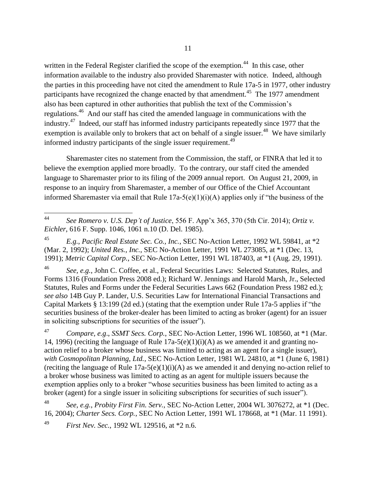written in the Federal Register clarified the scope of the exemption.<sup>44</sup> In this case, other information available to the industry also provided Sharemaster with notice. Indeed, although the parties in this proceeding have not cited the amendment to Rule 17a-5 in 1977, other industry participants have recognized the change enacted by that amendment.<sup>45</sup> The 1977 amendment also has been captured in other authorities that publish the text of the Commission's regulations.<sup>46</sup> And our staff has cited the amended language in communications with the industry.<sup>47</sup> Indeed, our staff has informed industry participants repeatedly since 1977 that the exemption is available only to brokers that act on behalf of a single issuer.<sup>48</sup> We have similarly informed industry participants of the single issuer requirement. 49

Sharemaster cites no statement from the Commission, the staff, or FINRA that led it to believe the exemption applied more broadly. To the contrary, our staff cited the amended language to Sharemaster prior to its filing of the 2009 annual report. On August 21, 2009, in response to an inquiry from Sharemaster, a member of our Office of the Chief Accountant informed Sharemaster via email that Rule 17a-5(e)(1)(i)(A) applies only if "the business of the

<sup>46</sup> *See, e.g.*, John C. Coffee, et al., Federal Securities Laws: Selected Statutes, Rules, and Forms 1316 (Foundation Press 2008 ed.); Richard W. Jennings and Harold Marsh, Jr., Selected Statutes, Rules and Forms under the Federal Securities Laws 662 (Foundation Press 1982 ed.); *see also* 14B Guy P. Lander, U.S. Securities Law for International Financial Transactions and Capital Markets § 13:199 (2d ed.) (stating that the exemption under Rule 17a-5 applies if "the securities business of the broker-dealer has been limited to acting as broker (agent) for an issuer in soliciting subscriptions for securities of the issuer").

<sup>47</sup> *Compare, e.g*., *SSMT Secs. Corp.*, SEC No-Action Letter, 1996 WL 108560, at \*1 (Mar. 14, 1996) (reciting the language of Rule  $17a-5(e)(1)(i)(A)$  as we amended it and granting noaction relief to a broker whose business was limited to acting as an agent for a single issuer), *with Cosmopolitan Planning, Ltd.*, SEC No-Action Letter, 1981 WL 24810, at \*1 (June 6, 1981) (reciting the language of Rule  $17a-5(e)(1)(i)(A)$  as we amended it and denying no-action relief to a broker whose business was limited to acting as an agent for multiple issuers because the exemption applies only to a broker "whose securities business has been limited to acting as a broker (agent) for a single issuer in soliciting subscriptions for securities of such issuer").

<sup>48</sup> *See, e.g.*, *Probity First Fin. Serv.*, SEC No-Action Letter, 2004 WL 3076272, at \*1 (Dec. 16, 2004); *Charter Secs. Corp.*, SEC No Action Letter, 1991 WL 178668, at \*1 (Mar. 11 1991).

<sup>49</sup> *First Nev. Sec.*, 1992 WL 129516, at \*2 n.6.

 $\overline{a}$ 

<sup>44</sup> *See Romero v. U.S. Dep't of Justice*, 556 F. App'x 365, 370 (5th Cir. 2014); *Ortiz v. Eichler*, 616 F. Supp. 1046, 1061 n.10 (D. Del. 1985).

<sup>45</sup> *E.g.*, *Pacific Real Estate Sec. Co., Inc.*, SEC No-Action Letter, 1992 WL 59841, at \*2 (Mar. 2, 1992); *United Res., Inc.*, SEC No-Action Letter, 1991 WL 273085, at \*1 (Dec. 13, 1991); *Metric Capital Corp.*, SEC No-Action Letter, 1991 WL 187403, at \*1 (Aug. 29, 1991).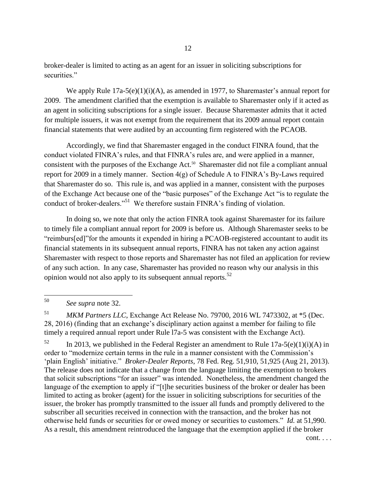broker-dealer is limited to acting as an agent for an issuer in soliciting subscriptions for securities."

We apply Rule 17a-5(e)(1)(i)(A), as amended in 1977, to Sharemaster's annual report for 2009. The amendment clarified that the exemption is available to Sharemaster only if it acted as an agent in soliciting subscriptions for a single issuer. Because Sharemaster admits that it acted for multiple issuers, it was not exempt from the requirement that its 2009 annual report contain financial statements that were audited by an accounting firm registered with the PCAOB.

Accordingly, we find that Sharemaster engaged in the conduct FINRA found, that the conduct violated FINRA's rules, and that FINRA's rules are, and were applied in a manner, consistent with the purposes of the Exchange Act.<sup>50</sup> Sharemaster did not file a compliant annual report for 2009 in a timely manner. Section 4(g) of Schedule A to FINRA's By-Laws required that Sharemaster do so. This rule is, and was applied in a manner, consistent with the purposes of the Exchange Act because one of the "basic purposes" of the Exchange Act "is to regulate the conduct of broker-dealers."<sup>51</sup> We therefore sustain FINRA's finding of violation.

In doing so, we note that only the action FINRA took against Sharemaster for its failure to timely file a compliant annual report for 2009 is before us. Although Sharemaster seeks to be "reimburs[ed]"for the amounts it expended in hiring a PCAOB-registered accountant to audit its financial statements in its subsequent annual reports, FINRA has not taken any action against Sharemaster with respect to those reports and Sharemaster has not filed an application for review of any such action. In any case, Sharemaster has provided no reason why our analysis in this opinion would not also apply to its subsequent annual reports.<sup>52</sup>

<sup>51</sup> *MKM Partners LLC*, Exchange Act Release No. 79700, 2016 WL 7473302, at \*5 (Dec. 28, 2016) (finding that an exchange's disciplinary action against a member for failing to file timely a required annual report under Rule l7a-5 was consistent with the Exchange Act).

<sup>52</sup> In 2013, we published in the Federal Register an amendment to Rule 17a-5(e)(1)(i)(A) in order to "modernize certain terms in the rule in a manner consistent with the Commission's 'plain English' initiative." *Broker-Dealer Reports*, 78 Fed. Reg. 51,910, 51,925 (Aug 21, 2013). The release does not indicate that a change from the language limiting the exemption to brokers that solicit subscriptions "for an issuer" was intended. Nonetheless, the amendment changed the language of the exemption to apply if "[t]he securities business of the broker or dealer has been limited to acting as broker (agent) for the issuer in soliciting subscriptions for securities of the issuer, the broker has promptly transmitted to the issuer all funds and promptly delivered to the subscriber all securities received in connection with the transaction, and the broker has not otherwise held funds or securities for or owed money or securities to customers." *Id.* at 51,990. As a result, this amendment reintroduced the language that the exemption applied if the broker

cont. . . .

<sup>50</sup> See supra note 32.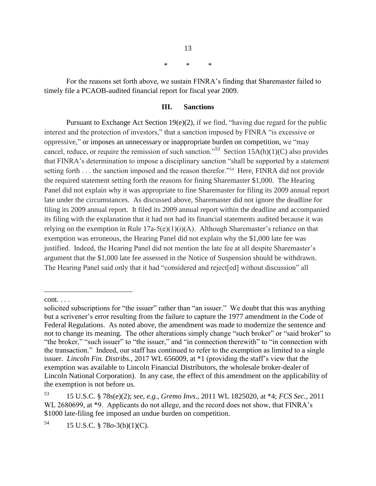\* \* \*

For the reasons set forth above, we sustain FINRA's finding that Sharemaster failed to timely file a PCAOB-audited financial report for fiscal year 2009.

### **III. Sanctions**

Pursuant to Exchange Act Section 19(e)(2), if we find, "having due regard for the public interest and the protection of investors," that a sanction imposed by FINRA "is excessive or oppressive," or imposes an unnecessary or inappropriate burden on competition, we "may cancel, reduce, or require the remission of such sanction.<sup>55</sup> Section 15A(h)(1)(C) also provides that FINRA's determination to impose a disciplinary sanction "shall be supported by a statement setting forth . . . the sanction imposed and the reason therefor."<sup>54</sup> Here, FINRA did not provide the required statement setting forth the reasons for fining Sharemaster \$1,000. The Hearing Panel did not explain why it was appropriate to fine Sharemaster for filing its 2009 annual report late under the circumstances. As discussed above, Sharemaster did not ignore the deadline for filing its 2009 annual report. It filed its 2009 annual report within the deadline and accompanied its filing with the explanation that it had not had its financial statements audited because it was relying on the exemption in Rule  $17a-5(e)(1)(i)(A)$ . Although Sharemaster's reliance on that exemption was erroneous, the Hearing Panel did not explain why the \$1,000 late fee was justified. Indeed, the Hearing Panel did not mention the late fee at all despite Sharemaster's argument that the \$1,000 late fee assessed in the Notice of Suspension should be withdrawn. The Hearing Panel said only that it had "considered and reject[ed] without discussion" all

 $\overline{a}$ 

13

cont. . . .

solicited subscriptions for "the issuer" rather than "an issuer." We doubt that this was anything but a scrivener's error resulting from the failure to capture the 1977 amendment in the Code of Federal Regulations. As noted above, the amendment was made to modernize the sentence and not to change its meaning. The other alterations simply change "such broker" or "said broker" to "the broker," "such issuer" to "the issuer," and "in connection therewith" to "in connection with the transaction." Indeed, our staff has continued to refer to the exemption as limited to a single issuer. *Lincoln Fin. Distribs.*, 2017 WL 656009, at \*1 (providing the staff's view that the exemption was available to Lincoln Financial Distributors, the wholesale broker-dealer of Lincoln National Corporation). In any case, the effect of this amendment on the applicability of the exemption is not before us.

<sup>53</sup> 15 U.S.C. § 78s(e)(2); *see, e.g.*, *Gremo Invs.,* 2011 WL 1825020, at \*4; *FCS Sec.*, 2011 WL 2680699, at \*9. Applicants do not allege, and the record does not show, that FINRA's \$1000 late-filing fee imposed an undue burden on competition.

<sup>54</sup> 15 U.S.C. § 78*o*-3(h)(1)(C).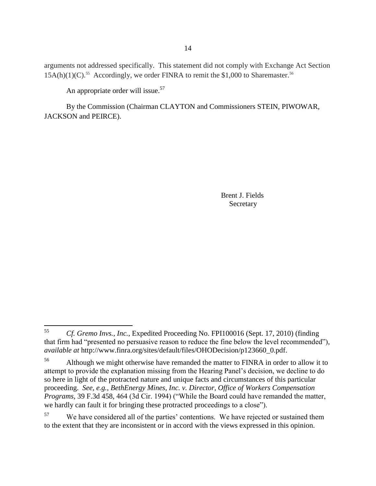arguments not addressed specifically. This statement did not comply with Exchange Act Section  $15A(h)(1)(C)$ .<sup>55</sup> Accordingly, we order FINRA to remit the \$1,000 to Sharemaster.<sup>56</sup>

An appropriate order will issue.<sup>57</sup>

By the Commission (Chairman CLAYTON and Commissioners STEIN, PIWOWAR, JACKSON and PEIRCE).

> Brent J. Fields Secretary

<sup>55</sup> <sup>55</sup> *Cf. Gremo Invs., Inc.*, Expedited Proceeding No. FPI100016 (Sept. 17, 2010) (finding that firm had "presented no persuasive reason to reduce the fine below the level recommended"), *available at* http://www.finra.org/sites/default/files/OHODecision/p123660\_0.pdf.

<sup>&</sup>lt;sup>56</sup> Although we might otherwise have remanded the matter to FINRA in order to allow it to attempt to provide the explanation missing from the Hearing Panel's decision, we decline to do so here in light of the protracted nature and unique facts and circumstances of this particular proceeding. *See, e.g.*, *BethEnergy Mines, Inc. v. Director, Office of Workers Compensation Programs*, 39 F.3d 458, 464 (3d Cir. 1994) ("While the Board could have remanded the matter, we hardly can fault it for bringing these protracted proceedings to a close").

<sup>&</sup>lt;sup>57</sup> We have considered all of the parties' contentions. We have rejected or sustained them to the extent that they are inconsistent or in accord with the views expressed in this opinion.